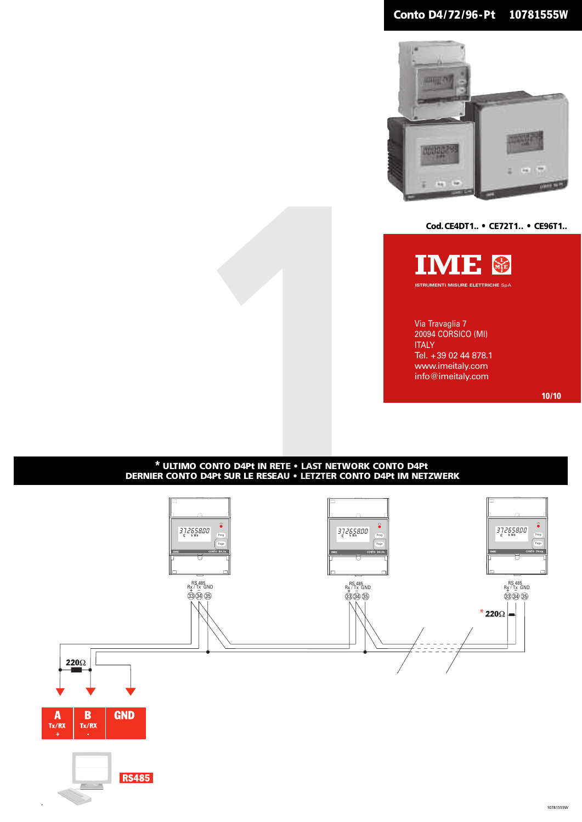# **Conto D4/72/96-Pt 10781555W**



**Cod.CE4DT1.. • CE72T1.. • CE96T1..**



Via Travaglia 7 20094 CORSICO (MI) **ITALY** Tel. +39 02 44 878.1 www.imeitaly.com info@imeitaly.com

# **\* ULTIMO CONTO D4Pt IN RETE • LAST NETWORK CONTO D4Pt DERNIER CONTO D4Pt SUR LE RESEAU • LETZTER CONTO D4Pt IM NETZWERK**



**10/10**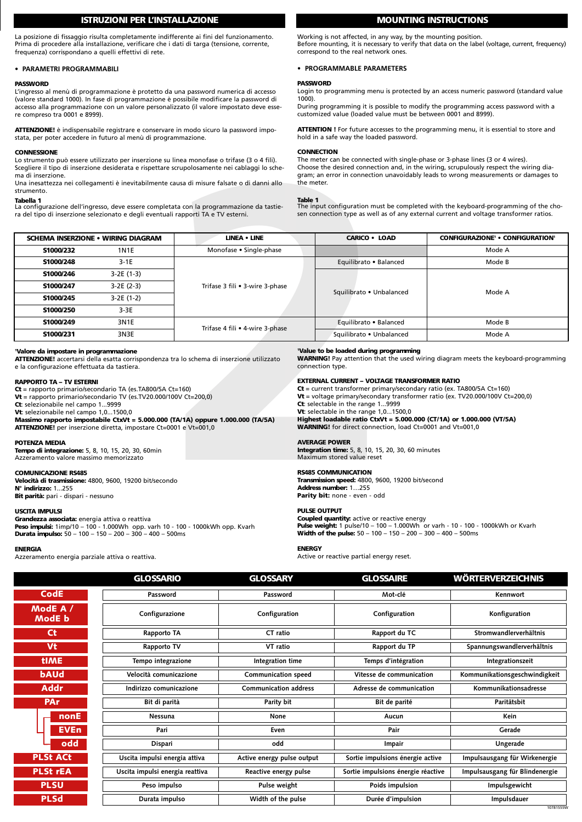# **ISTRUZIONI PER L'INSTALLAZIONE**

La posizione di fissaggio risulta completamente indifferente ai fini del funzionamento. Prima di procedere alla installazione, verificare che i dati di targa (tensione, corrente, frequenza) corrispondano a quelli effettivi di rete.

# **• PARAMETRI PROGRAMMABILI**

#### **PASSWORD**

L'ingresso al menù di programmazione è protetto da una password numerica di accesso<br>(valore standard 1000). In fase di programmazione è possibile modificare la password di<br>accesso alla programmazione con un valore personal re compreso tra 0001 e 8999).

**ATTENZIONE!** è indispensabile registrare e conservare in modo sicuro la password impostata, per poter accedere in futuro al menù di programmazione.

#### **CONNESSIONE**

### **Tabella 1**

# **MOUNTING INSTRUCTIONS**

Working is not affected, in any way, by the mounting position. Before mounting, it is necessary to verify that data on the label (voltage, current, frequency) correspond to the real network ones.

# **• PROGRAMMABLE PARAMETERS**

# **PASSWORD**

Login to programming menu is protected by an access numeric password (standard value 1000).

During programming it is possible to modify the programming access password with a customized value (loaded value must be between 0001 and 8999).

**ATTENTION !** For future accesses to the programming menu, it is essential to store and hold in a safe way the loaded password.

#### **CONNECTION**

#### **Table 1**

| <b>CONNESSIONE</b><br>ma di inserzione.<br>strumento.<br>Tabella 1                                                                                                                                                                                                                                                                                                                                          |                                                                                   | Lo strumento può essere utilizzato per inserzione su linea monofase o trifase (3 o 4 fili).<br>Scegliere il tipo di inserzione desiderata e rispettare scrupolosamente nei cablaggi lo sche-<br>Una inesattezza nei collegamenti è inevitabilmente causa di misure falsate o di danni allo | the meter.<br><b>Table 1</b>                                                                                                                                                                                                                                                                                                                                                                                                                  | <b>CONNECTION</b><br>The meter can be connected with single-phase or 3-phase lines (3 or 4 wires). | Choose the desired connection and, in the wiring, scrupulously respect the wiring dia-<br>gram; an error in connection unavoidably leads to wrong measurements or damages to  |  |
|-------------------------------------------------------------------------------------------------------------------------------------------------------------------------------------------------------------------------------------------------------------------------------------------------------------------------------------------------------------------------------------------------------------|-----------------------------------------------------------------------------------|--------------------------------------------------------------------------------------------------------------------------------------------------------------------------------------------------------------------------------------------------------------------------------------------|-----------------------------------------------------------------------------------------------------------------------------------------------------------------------------------------------------------------------------------------------------------------------------------------------------------------------------------------------------------------------------------------------------------------------------------------------|----------------------------------------------------------------------------------------------------|-------------------------------------------------------------------------------------------------------------------------------------------------------------------------------|--|
|                                                                                                                                                                                                                                                                                                                                                                                                             | ra del tipo di inserzione selezionato e degli eventuali rapporti TA e TV esterni. | La configurazione dell'ingresso, deve essere completata con la programmazione da tastie-                                                                                                                                                                                                   |                                                                                                                                                                                                                                                                                                                                                                                                                                               |                                                                                                    | The input configuration must be completed with the keyboard-programming of the cho-<br>sen connection type as well as of any external current and voltage transformer ratios. |  |
|                                                                                                                                                                                                                                                                                                                                                                                                             | <b>SCHEMA INSERZIONE • WIRING DIAGRAM</b>                                         | <b>LINEA • LINE</b>                                                                                                                                                                                                                                                                        |                                                                                                                                                                                                                                                                                                                                                                                                                                               | <b>CARICO . LOAD</b>                                                                               | CONFIGURAZIONE <sup>1</sup> . CONFIGURATION <sup>1</sup>                                                                                                                      |  |
| S1000/232                                                                                                                                                                                                                                                                                                                                                                                                   | <b>1N1E</b>                                                                       | Monofase • Single-phase                                                                                                                                                                                                                                                                    |                                                                                                                                                                                                                                                                                                                                                                                                                                               |                                                                                                    | Mode A                                                                                                                                                                        |  |
| S1000/248                                                                                                                                                                                                                                                                                                                                                                                                   | $3-1E$                                                                            |                                                                                                                                                                                                                                                                                            |                                                                                                                                                                                                                                                                                                                                                                                                                                               | Equilibrato . Balanced                                                                             | Mode B                                                                                                                                                                        |  |
| S1000/246                                                                                                                                                                                                                                                                                                                                                                                                   | $3-2E(1-3)$                                                                       |                                                                                                                                                                                                                                                                                            |                                                                                                                                                                                                                                                                                                                                                                                                                                               |                                                                                                    | Mode A                                                                                                                                                                        |  |
| S1000/247                                                                                                                                                                                                                                                                                                                                                                                                   | $3-2E(2-3)$                                                                       | Trifase 3 fili . 3-wire 3-phase                                                                                                                                                                                                                                                            |                                                                                                                                                                                                                                                                                                                                                                                                                                               |                                                                                                    |                                                                                                                                                                               |  |
| S1000/245                                                                                                                                                                                                                                                                                                                                                                                                   | $3-2E(1-2)$                                                                       |                                                                                                                                                                                                                                                                                            | Squilibrato . Unbalanced                                                                                                                                                                                                                                                                                                                                                                                                                      |                                                                                                    |                                                                                                                                                                               |  |
| S1000/250                                                                                                                                                                                                                                                                                                                                                                                                   | $3-3E$                                                                            |                                                                                                                                                                                                                                                                                            |                                                                                                                                                                                                                                                                                                                                                                                                                                               |                                                                                                    |                                                                                                                                                                               |  |
| S1000/249                                                                                                                                                                                                                                                                                                                                                                                                   | 3N1E                                                                              | Trifase 4 fili • 4-wire 3-phase                                                                                                                                                                                                                                                            |                                                                                                                                                                                                                                                                                                                                                                                                                                               | Equilibrato • Balanced                                                                             | Mode B                                                                                                                                                                        |  |
| S1000/231                                                                                                                                                                                                                                                                                                                                                                                                   | 3N3E                                                                              |                                                                                                                                                                                                                                                                                            |                                                                                                                                                                                                                                                                                                                                                                                                                                               | Squilibrato . Unbalanced                                                                           | Mode A                                                                                                                                                                        |  |
| 'Valore da impostare in programmazione<br>e la configurazione effettuata da tastiera.                                                                                                                                                                                                                                                                                                                       |                                                                                   | ATTENZIONE! accertarsi della esatta corrispondenza tra lo schema di inserzione utilizzato                                                                                                                                                                                                  |                                                                                                                                                                                                                                                                                                                                                                                                                                               | 'Value to be loaded during programming<br>connection type.                                         | <b>WARNING!</b> Pay attention that the used wiring diagram meets the keyboard-programming                                                                                     |  |
| <b>RAPPORTO TA - TV ESTERNI</b><br>$Ct$ = rapporto primario/secondario TA (es. TA800/5A Ct=160)<br>$Vt$ = rapporto primario/secondario TV (es. TV20.000/100V Ct=200,0)<br>Ct: selezionabile nel campo 19999<br>Vt: selezionabile nel campo 1,01500,0<br>Massimo rapporto impostabile CtxVt = 5.000.000 (TA/1A) oppure 1.000.000 (TA/5A)<br>ATTENZIONE! per inserzione diretta, impostare Ct=0001 e Vt=001,0 |                                                                                   |                                                                                                                                                                                                                                                                                            | <b>EXTERNAL CURRENT - VOLTAGE TRANSFORMER RATIO</b><br>$Ct$ = current transformer primary/secondary ratio (ex. TA800/5A Ct=160)<br>$Vt =$ voltage primary/secondary transformer ratio (ex. TV20.000/100V Ct=200,0)<br>Ct: selectable in the range 19999<br>Vt: selectable in the range 1,01500,0<br>Highest loadable ratio CtxVt = 5.000.000 (CT/1A) or 1.000.000 (VT/5A)<br><b>WARNING!</b> for direct connection, load Ct=0001 and Vt=001,0 |                                                                                                    |                                                                                                                                                                               |  |
| <b>POTENZA MEDIA</b><br>Tempo di integrazione: 5, 8, 10, 15, 20, 30, 60min<br>Azzeramento valore massimo memorizzato                                                                                                                                                                                                                                                                                        |                                                                                   |                                                                                                                                                                                                                                                                                            | <b>AVERAGE POWER</b><br><b>Integration time:</b> 5, 8, 10, 15, 20, 30, 60 minutes<br>Maximum stored value reset                                                                                                                                                                                                                                                                                                                               |                                                                                                    |                                                                                                                                                                               |  |
| <b>COMUNICAZIONE RS485</b><br>Velocità di trasmissione: 4800, 9600, 19200 bit/secondo<br>N° indirizzo: 1255<br>Bit parità: pari - dispari - nessuno                                                                                                                                                                                                                                                         |                                                                                   |                                                                                                                                                                                                                                                                                            | <b>RS485 COMMUNICATION</b><br>Transmission speed: 4800, 9600, 19200 bit/second<br>Address number: 1255<br>Parity bit: none - even - odd                                                                                                                                                                                                                                                                                                       |                                                                                                    |                                                                                                                                                                               |  |
| <b>USCITA IMPULSI</b><br>Grandezza associata: energia attiva o reattiva<br>Peso impulsi: 1imp/10 - 100 - 1.000Wh opp. varh 10 - 100 - 1000kWh opp. Kvarh<br>Durata impulso: 50 - 100 - 150 - 200 - 200 - 400 - 500ms                                                                                                                                                                                        |                                                                                   |                                                                                                                                                                                                                                                                                            | <b>PULSE OUTPUT</b><br><b>Coupled quantity:</b> active or reactive energy<br><b>Pulse weight:</b> 1 pulse/10 - 100 - 1.000Wh or varh - 10 - 100 - 1000kWh or Kvarh<br><b>Width of the pulse:</b> $50 - 100 - 150 - 200 - 300 - 400 - 500$ ms                                                                                                                                                                                                  |                                                                                                    |                                                                                                                                                                               |  |

#### **1 Valore da impostare in programmazione**

## **RAPPORTO TA – TV ESTERNI**

## **POTENZA MEDIA**

# **COMUNICAZIONE RS485**

## **USCITA IMPULSI**

**Grandezza associata:** energia attiva o reattiva **Peso impulsi:** 1imp/10 – 100 - 1.000Wh opp. varh 10 - 100 - 1000kWh opp. Kvarh<br>**Durata impulso:** 50 – 100 – 150 – 200 – 300 – 400 – 500ms

## **ENERGIA**

Azzeramento energia parziale attiva o reattiva.

### **1 Value to be loaded during programming**

## **EXTERNAL CURRENT – VOLTAGE TRANSFORMER RATIO**

# **AVERAGE POWER**

#### **RS485 COMMUNICATION**

#### **PULSE OUTPUT**

**Coupled quantity:** active or reactive energy **Pulse weight:** 1 pulse/10 – 100 – 1.000Wh or varh - 10 - 100 - 1000kWh or Kvarh **Width of the pulse:** 50 – 100 – 150 – 200 – 300 – 400 – 500ms

# **ENERGY**

Active or reactive partial energy reset.

|                     | <b>GLOSSARIO</b>                | <b>GLOSSARY</b>              | <b>GLOSSAIRE</b>                   | <b>WÖRTERVERZEICHNIS</b>       |
|---------------------|---------------------------------|------------------------------|------------------------------------|--------------------------------|
| CodE                | Password                        | Password                     | Mot-clé                            | Kennwort                       |
| ModE $A/$<br>ModE b | Configurazione                  | Configuration                | Configuration                      | Konfiguration                  |
| <b>Ct</b>           | Rapporto TA                     | CT ratio                     | Rapport du TC                      | Stromwandlerverhältnis         |
| Vt                  | Rapporto TV                     | VT ratio                     | Rapport du TP                      | Spannungswandlerverhältnis     |
| <b>tIME</b>         | Tempo integrazione              | Integration time             | Temps d'intégration                | Integrationszeit               |
| <b>bAUd</b>         | Velocità comunicazione          | Communication speed          | Vitesse de communication           | Kommunikationsgeschwindigkeit  |
| <b>Addr</b>         | Indirizzo comunicazione         | <b>Communication address</b> | Adresse de communication           | Kommunikationsadresse          |
| <b>PAr</b>          | Bit di parità                   | Parity bit                   | Bit de parité                      | Paritätsbit                    |
| nonE                | Nessuna                         | None                         | Aucun                              | Kein                           |
| <b>EVEn</b>         | Pari                            | Even                         | Pair                               | Gerade                         |
| odd                 | Dispari                         | odd                          | Impair                             | Ungerade                       |
| <b>PLSt ACt</b>     | Uscita impulsi energia attiva   | Active energy pulse output   | Sortie impulsions énergie active   | Impulsausgang für Wirkenergie  |
| <b>PLSt rEA</b>     | Uscita impulsi energia reattiva | Reactive energy pulse        | Sortie impulsions énergie réactive | Impulsausgang für Blindenergie |
| <b>PLSU</b>         | Peso impulso                    | Pulse weight                 | Poids impulsion                    | Impulsgewicht                  |
| <b>PLSd</b>         | Durata impulso                  | Width of the pulse           | Durée d'impulsion                  | Impulsdauer<br>10781555V       |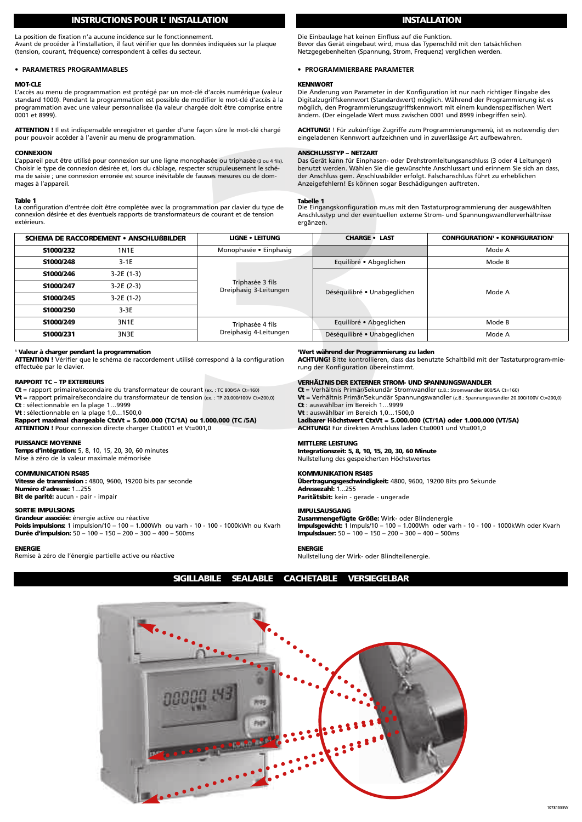# **INSTRUCTIONS POUR L' INSTALLATION INSTALLATION**

La position de fixation n'a aucune incidence sur le fonctionnement.

Avant de procéder à l'installation, il faut vérifier que les données indiquées sur la plaque (tension, courant, fréquence) correspondent à celles du secteur.

# **• PARAMETRES PROGRAMMABLES**

## **MOT-CLE**

L'accès au menu de programmation est protégé par un mot-clé d'accès numérique (valeur standard 1000). Pendant la programmation est possible de modifier le mot-clé d'accès à la programmation avec une valeur personnalisée (la valeur chargée doit être comprise entre 0001 et 8999).

## **CONNEXION**

Die Einbaulage hat keinen Einfluss auf die Funktion. Bevor das Gerät eingebaut wird, muss das Typenschild mit den tatsächlichen Netzgegebenheiten (Spannung, Strom, Frequenz) verglichen werden.

# **• PROGRAMMIERBARE PARAMETER**

# **KENNWORT**

Die Änderung von Parameter in der Konfiguration ist nur nach richtiger Eingabe des Digitalzugriffskennwort (Standardwert) möglich. Während der Programmierung ist es möglich, den Programmierungszugriffskennwort mit einem kundenspezifischen Wert ändern. (Der eingelade Wert muss zwischen 0001 und 8999 inbegriffen sein).

### **ANSCHLUSSTYP – NETZART**

#### **Tabelle 1**

| 0001 et 8999).                                                                                                                                                                                                                                                                                                                                                                                                                                                                                                                                                                                                                                                    |                                                                                                                                                                                       |                                                                                                                              | ändern. (Der eingelade Wert muss zwischen 0001 und 8999 inbegriffen sein).                                                                                                                                                                                                                                                                                                                                                                                                                                                                                                                                                                         |                                                         |  |                                                                                                                                                                    |
|-------------------------------------------------------------------------------------------------------------------------------------------------------------------------------------------------------------------------------------------------------------------------------------------------------------------------------------------------------------------------------------------------------------------------------------------------------------------------------------------------------------------------------------------------------------------------------------------------------------------------------------------------------------------|---------------------------------------------------------------------------------------------------------------------------------------------------------------------------------------|------------------------------------------------------------------------------------------------------------------------------|----------------------------------------------------------------------------------------------------------------------------------------------------------------------------------------------------------------------------------------------------------------------------------------------------------------------------------------------------------------------------------------------------------------------------------------------------------------------------------------------------------------------------------------------------------------------------------------------------------------------------------------------------|---------------------------------------------------------|--|--------------------------------------------------------------------------------------------------------------------------------------------------------------------|
| <b>ATTENTION!</b> Il est indispensable enregistrer et garder d'une façon sûre le mot-clé chargé<br>pour pouvoir accéder à l'avenir au menu de programmation.                                                                                                                                                                                                                                                                                                                                                                                                                                                                                                      |                                                                                                                                                                                       |                                                                                                                              | <b>ACHTUNG!</b> ! Für zukünftige Zugriffe zum Programmierungsmenü, ist es notwendig den<br>eingeladenen Kennwort aufzeichnen und in zuverlässige Art aufbewahren.                                                                                                                                                                                                                                                                                                                                                                                                                                                                                  |                                                         |  |                                                                                                                                                                    |
| <b>CONNEXION</b><br>L'appareil peut être utilisé pour connexion sur une ligne monophasée ou triphasée (3 ou 4 fils).<br>Choisir le type de connexion désirée et, lors du câblage, respecter scrupuleusement le sché-<br>ma de saisie ; une connexion erronée est source inévitable de fausses mesures ou de dom-<br>mages à l'appareil.                                                                                                                                                                                                                                                                                                                           |                                                                                                                                                                                       |                                                                                                                              | <b>ANSCHLUSSTYP - NETZART</b><br>Das Gerät kann für Einphasen- oder Drehstromleitungsanschluss (3 oder 4 Leitungen)<br>benutzt werden. Wählen Sie die gewünschte Anschlussart und erinnern Sie sich an dass,<br>der Anschluss gem. Anschlussbilder erfolgt. Falschanschluss führt zu erheblichen<br>Anzeigefehlern! Es können sogar Beschädigungen auftreten.                                                                                                                                                                                                                                                                                      |                                                         |  |                                                                                                                                                                    |
| Table 1<br>extérieurs.                                                                                                                                                                                                                                                                                                                                                                                                                                                                                                                                                                                                                                            | La configuration d'entrée doit être complétée avec la programmation par clavier du type de<br>connexion désirée et des éventuels rapports de transformateurs de courant et de tension |                                                                                                                              | <b>Tabelle 1</b><br>ergänzen.                                                                                                                                                                                                                                                                                                                                                                                                                                                                                                                                                                                                                      |                                                         |  | Die Eingangskonfiguration muss mit den Tastaturprogrammierung der ausgewählten<br>Anschlusstyp und der eventuellen externe Strom- und Spannungswandlerverhältnisse |
|                                                                                                                                                                                                                                                                                                                                                                                                                                                                                                                                                                                                                                                                   | <b>SCHEMA DE RACCORDEMENT • ANSCHLUßBILDER</b>                                                                                                                                        | <b>LIGNE . LEITUNG</b>                                                                                                       |                                                                                                                                                                                                                                                                                                                                                                                                                                                                                                                                                                                                                                                    | <b>CHARGE . LAST</b>                                    |  | <b>CONFIGURATION' . KONFIGURATION'</b>                                                                                                                             |
| S1000/232                                                                                                                                                                                                                                                                                                                                                                                                                                                                                                                                                                                                                                                         | <b>1N1E</b>                                                                                                                                                                           | Monophasée • Einphasig                                                                                                       |                                                                                                                                                                                                                                                                                                                                                                                                                                                                                                                                                                                                                                                    |                                                         |  | Mode A                                                                                                                                                             |
| S1000/248                                                                                                                                                                                                                                                                                                                                                                                                                                                                                                                                                                                                                                                         | $3-1E$                                                                                                                                                                                |                                                                                                                              |                                                                                                                                                                                                                                                                                                                                                                                                                                                                                                                                                                                                                                                    | Equilibré • Abgeglichen                                 |  | Mode B                                                                                                                                                             |
| S1000/246                                                                                                                                                                                                                                                                                                                                                                                                                                                                                                                                                                                                                                                         | 3-2E (1-3)                                                                                                                                                                            |                                                                                                                              |                                                                                                                                                                                                                                                                                                                                                                                                                                                                                                                                                                                                                                                    |                                                         |  |                                                                                                                                                                    |
| S1000/247                                                                                                                                                                                                                                                                                                                                                                                                                                                                                                                                                                                                                                                         | 3-2E (2-3)                                                                                                                                                                            | Triphasée 3 fils<br>Dreiphasig 3-Leitungen                                                                                   |                                                                                                                                                                                                                                                                                                                                                                                                                                                                                                                                                                                                                                                    |                                                         |  | Mode A                                                                                                                                                             |
| S1000/245                                                                                                                                                                                                                                                                                                                                                                                                                                                                                                                                                                                                                                                         | 3-2E (1-2)                                                                                                                                                                            |                                                                                                                              |                                                                                                                                                                                                                                                                                                                                                                                                                                                                                                                                                                                                                                                    | Déséquilibré • Unabgeglichen                            |  |                                                                                                                                                                    |
| S1000/250                                                                                                                                                                                                                                                                                                                                                                                                                                                                                                                                                                                                                                                         | $3-3E$                                                                                                                                                                                |                                                                                                                              |                                                                                                                                                                                                                                                                                                                                                                                                                                                                                                                                                                                                                                                    |                                                         |  |                                                                                                                                                                    |
| S1000/249                                                                                                                                                                                                                                                                                                                                                                                                                                                                                                                                                                                                                                                         | 3N1E                                                                                                                                                                                  | Triphasée 4 fils                                                                                                             |                                                                                                                                                                                                                                                                                                                                                                                                                                                                                                                                                                                                                                                    | Equilibré · Abgeglichen<br>Déséquilibré • Unabgeglichen |  | Mode B                                                                                                                                                             |
| S1000/231                                                                                                                                                                                                                                                                                                                                                                                                                                                                                                                                                                                                                                                         | 3N3E                                                                                                                                                                                  | Dreiphasig 4-Leitungen                                                                                                       |                                                                                                                                                                                                                                                                                                                                                                                                                                                                                                                                                                                                                                                    |                                                         |  | Mode A                                                                                                                                                             |
| <sup>1</sup> Valeur à charger pendant la programmation<br>ATTENTION ! Vérifier que le schéma de raccordement utilisé correspond à la configuration<br>effectuée par le clavier.<br><b>RAPPORT TC - TP EXTERIEURS</b><br>Ct = rapport primaire/secondaire du transformateur de courant (ex.: TC 800/5A Ct=160)<br><b>Vt</b> = rapport primaire/secondaire du transformateur de tension (ex.: TP 20.000/100V Ct=200,0)<br>Ct : sélectionnable en la plage 19999<br>Vt : sélectionnable en la plage 1,01500,0<br>Rapport maximal chargeable CtxVt = 5.000.000 (TC/1A) ou 1.000.000 (TC /5A)<br><b>ATTENTION !</b> Pour connexion directe charger Ct=0001 et Vt=001,0 |                                                                                                                                                                                       |                                                                                                                              | 'Wert während der Programmierung zu laden<br>ACHTUNG! Bitte kontrollieren, dass das benutzte Schaltbild mit der Tastaturprogram-mie-<br>rung der Konfiguration übereinstimmt.<br>VERHÄLTNIS DER EXTERNER STROM- UND SPANNUNGSWANDLER<br>$Ct = Verhältnis Primär/Sekundär Stromwandler (z.B.: Stromwandler 800/5A Ct=160)$<br>Vt = Verhältnis Primär/Sekundär Spannungswandler (z.B.: Spannungswandler 20.000/100V Ct=200,0)<br>Ct: auswählbar im Bereich 19999<br>Vt: auswählbar im Bereich 1,01500,0<br>Ladbarer Höchstwert CtxVt = 5.000.000 (CT/1A) oder 1.000.000 (VT/5A)<br><b>ACHTUNG!</b> Für direkten Anschluss laden Ct=0001 und Vt=001,0 |                                                         |  |                                                                                                                                                                    |
| <b>PUISSANCE MOYENNE</b><br><b>Temps d'intégration:</b> 5, 8, 10, 15, 20, 30, 60 minutes<br>Mise à zéro de la valeur maximale mémorisée                                                                                                                                                                                                                                                                                                                                                                                                                                                                                                                           |                                                                                                                                                                                       | <b>MITTLERE LEISTUNG</b><br>Integrationszeit: 5, 8, 10, 15, 20, 30, 60 Minute<br>Nullstellung des gespeicherten Höchstwertes |                                                                                                                                                                                                                                                                                                                                                                                                                                                                                                                                                                                                                                                    |                                                         |  |                                                                                                                                                                    |
| <b>COMMUNICATION RS485</b><br>Vitesse de transmission : 4800, 9600, 19200 bits par seconde<br><b>Numéro d'adresse: 1255</b><br>Bit de parité: aucun - pair - impair                                                                                                                                                                                                                                                                                                                                                                                                                                                                                               |                                                                                                                                                                                       |                                                                                                                              | <b>KOMMUNIKATION RS485</b><br><b>Übertragungsgeschwindigkeit:</b> 4800, 9600, 19200 Bits pro Sekunde<br>Adressezahl: 1255<br>Paritätsbit: kein - gerade - ungerade                                                                                                                                                                                                                                                                                                                                                                                                                                                                                 |                                                         |  |                                                                                                                                                                    |

## **RAPPORT TC – TP EXTERIEURS**

#### **PUISSANCE MOYENNE**

#### **COMMUNICATION RS485**

**Vitesse de transmission :** 4800, 9600, 19200 bits par seconde **Numéro d'adresse:** 1...255 **Bit de parité:** aucun - pair - impair

# **SORTIE IMPULSIONS**

**Grandeur associée:** énergie active ou réactive **Poids impulsions:** 1 impulsion/10 – 100 – 1.000Wh ou varh - 10 - 100 - 1000kWh ou Kvarh **Durée d'impulsion:** 50 – 100 – 150 – 200 – 300 – 400 – 500ms

# **ENERGIE**

Remise à zéro de l'énergie partielle active ou réactive

#### **VERHÄLTNIS DER EXTERNER STROM- UND SPANNUNGSWANDLER**

# **MITTLERE LEISTUNG**

# **KOMMUNIKATION RS485**

**Übertragungsgeschwindigkeit:** 4800, 9600, 19200 Bits pro Sekunde **Adressezahl:** 1...255 **Paritätsbit:** kein - gerade - ungerade

#### **IMPULSAUSGANG Zusammengefügte Größe:** Wirk- oder Blindenergie

**Impulsgewicht:** 1 Impuls/10 – 100 – 1.000Wh oder varh - 10 - 100 - 1000kWh oder Kvarh **Impulsdauer:** 50 – 100 – 150 – 200 – 300 – 400 – 500ms

## **ENERGIE**

Nullstellung der Wirk- oder Blindteilenergie.



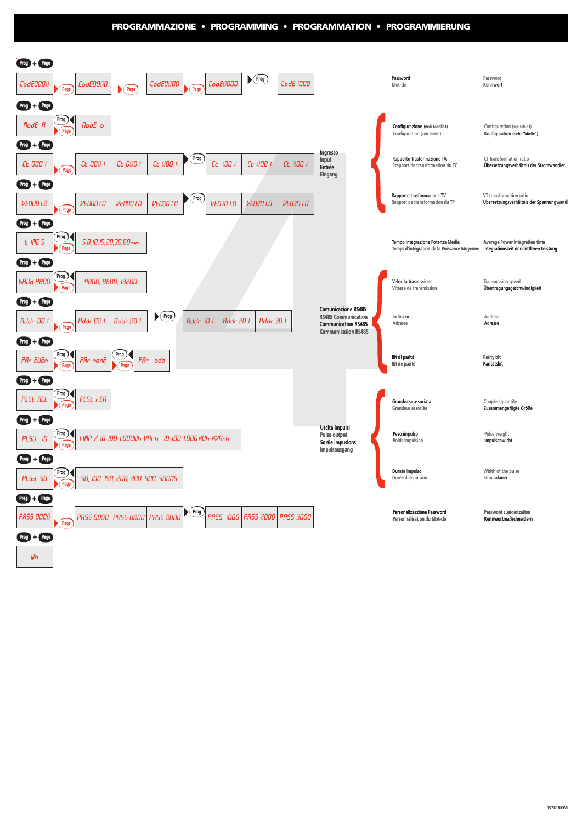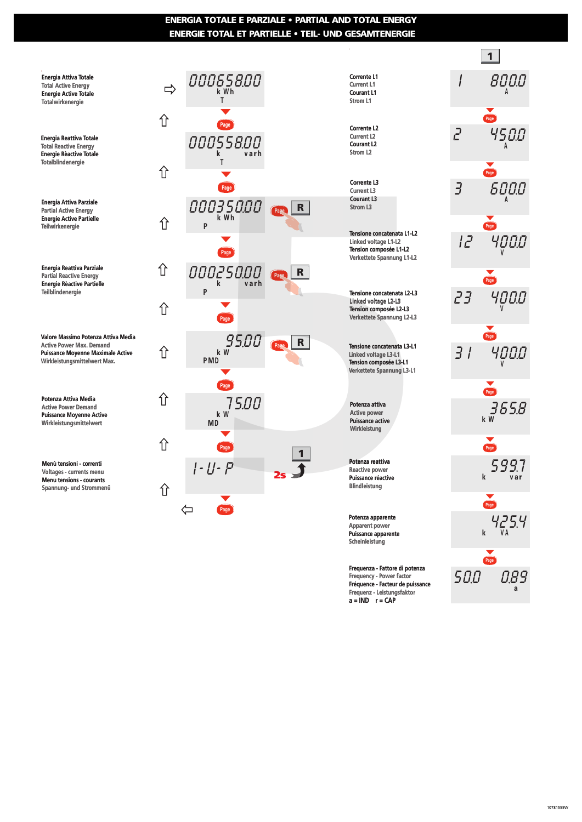# **ENERGIA TOTALE E PARZIALE • PARTIAL AND TOTAL ENERGY ENERGIE TOTAL ET PARTIELLE •TEIL- UND GESAMTENERGIE**

.<br>Energia Attiva Totale **Total Active Energy Energie Active Totale Totalwirkenergie** 

**Energia Reattiva Totale Total Reactive Energy Energie Rèactive Totale Totalblindenergie** 

**Energia Attiva Parziale Partial Active Energy Energie Active Partielle Teilwirkenergie** 

**Energia Reattiva Parziale Partial Reactive Energy Energie Rèactive Partielle Teilblindenergie** 

**Valore Massimo Potenza Attiva Media Active Power Max. Demand Puissance Moyenne Maximale Active Wirkleistungsmittelwert Max.**

**Potenza Attiva Media Active Power Demand Puissance Moyenne Active Wirkleistungsmittelwert** 

**Menù tensioni - correnti Voltages - currents menu Menu tensions - courants Spannung- und Strommenü** 





Frequenza - Fattore di potenza<br>Frequency - Power factor<br>Exequence - Facteur de puissance<br>Exequenze - Leistungsfaktor **Frequency - Power factor Fréquence - Facteur de puissance Frequenz - Leistungsfaktor a = IND r = CAP**

**Puissance apparente Scheinleistung**

| Page              |           |
|-------------------|-----------|
| 3                 | 6000      |
|                   |           |
|                   |           |
| יבן               |           |
|                   |           |
| 23                |           |
|                   |           |
| 31                | Page 4000 |
| Page              |           |
|                   | 365.8     |
| Page              |           |
| k                 | 599.7     |
| Page <sup>)</sup> |           |
|                   | 425.4     |
| Page              |           |
| 50.0              | 0.89      |

8000 **A**

**1**

**Page**

4500 **A**

I

2